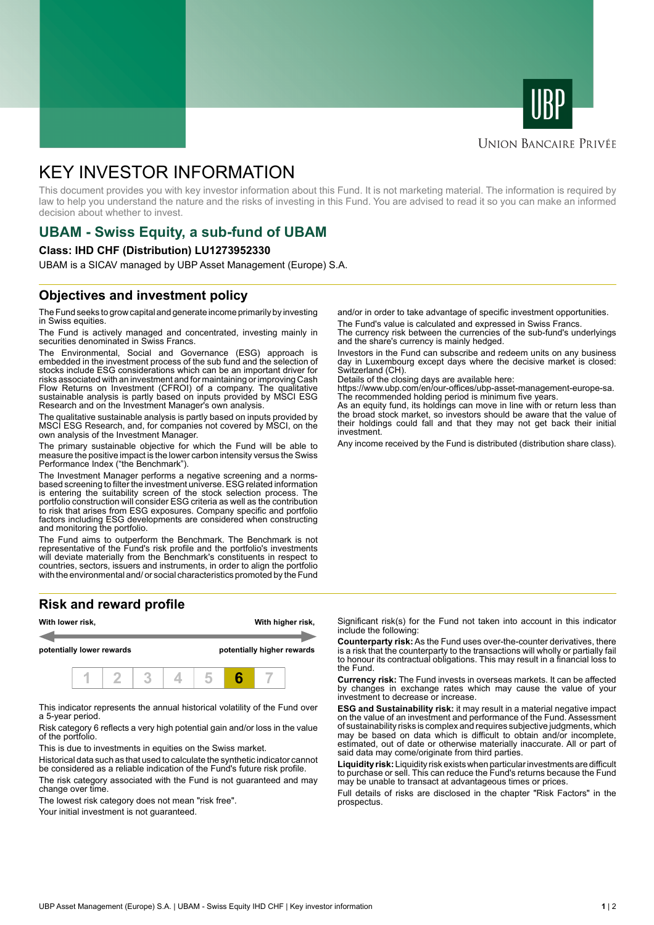



#### **UNION BANCAIRE PRIVÉE**

# KEY INVESTOR INFORMATION

This document provides you with key investor information about this Fund. It is not marketing material. The information is required by law to help you understand the nature and the risks of investing in this Fund. You are advised to read it so you can make an informed decision about whether to invest.

# **UBAM - Swiss Equity, a sub-fund of UBAM**

#### **Class: IHD CHF (Distribution) LU1273952330**

UBAM is a SICAV managed by UBP Asset Management (Europe) S.A.

### **Objectives and investment policy**

The Fund seeks to grow capital and generate income primarily by investing in Swiss equities.

The Fund is actively managed and concentrated, investing mainly in securities denominated in Swiss Francs.

The Environmental, Social and Governance (ESG) approach is embedded in the investment process of the sub fund and the selection of stocks include ESG considerations which can be an important driver for risks associated with an investment and for maintaining or improving Cash Flow Returns on Investment (CFROI) of a company. The qualitative sustainable analysis is partly based on inputs provided by MSCI ESG Research and on the Investment Manager's own analysis.

The qualitative sustainable analysis is partly based on inputs provided by MSCI ESG Research, and, for companies not covered by MSCI, on the own analysis of the Investment Manager.

The primary sustainable objective for which the Fund will be able to measure the positive impact is the lower carbon intensity versus the Swiss Performance Index ("the Benchmark").

The Investment Manager performs a negative screening and a normsbased screening to filter the investment universe. ESG related information is entering the suitability screen of the stock selection process. The portfolio construction will consider ESG criteria as well as the contribution to risk that arises from ESG exposures. Company specific and portfolio factors including ESG developments are considered when constructing and monitoring the portfolio.

The Fund aims to outperform the Benchmark. The Benchmark is not representative of the Fund's risk profile and the portfolio's investments will deviate materially from the Benchmark's constituents in respect to countries, sectors, issuers and instruments, in order to align the portfolio with the environmental and/ or social characteristics promoted by the Fund

## **Risk and reward profile**



This indicator represents the annual historical volatility of the Fund over a 5-year period.

Risk category 6 reflects a very high potential gain and/or loss in the value of the portfolio.

This is due to investments in equities on the Swiss market.

Historical data such as that used to calculate the synthetic indicator cannot be considered as a reliable indication of the Fund's future risk profile. The risk category associated with the Fund is not guaranteed and may change over time.

The lowest risk category does not mean "risk free".

Your initial investment is not guaranteed.

and/or in order to take advantage of specific investment opportunities.

The Fund's value is calculated and expressed in Swiss Francs. The currency risk between the currencies of the sub-fund's underlyings and the share's currency is mainly hedged.

Investors in the Fund can subscribe and redeem units on any business day in Luxembourg except days where the decisive market is closed: Switzerland (CH).

Details of the closing days are available here:

https://www.ubp.com/en/our-offices/ubp-asset-management-europe-sa. The recommended holding period is minimum five years.

As an equity fund, its holdings can move in line with or return less than the broad stock market, so investors should be aware that the value of their holdings could fall and that they may not get back their initial investment.

Any income received by the Fund is distributed (distribution share class).

Significant risk(s) for the Fund not taken into account in this indicator include the following:

**Counterparty risk:** As the Fund uses over-the-counter derivatives, there is a risk that the counterparty to the transactions will wholly or partially fail to honour its contractual obligations. This may result in a financial loss to the Fund.

**Currency risk:** The Fund invests in overseas markets. It can be affected by changes in exchange rates which may cause the value of your investment to decrease or increase.

**ESG and Sustainability risk:** it may result in a material negative impact on the value of an investment and performance of the Fund. Assessment of sustainability risks is complex and requires subjective judgments, which may be based on data which is difficult to obtain and/or incomplete, estimated, out of date or otherwise materially inaccurate. All or part of said data may come/originate from third parties.

**Liquidity risk:** Liquidity risk exists when particular investments are difficult to purchase or sell. This can reduce the Fund's returns because the Fund may be unable to transact at advantageous times or prices.

Full details of risks are disclosed in the chapter "Risk Factors" in the prospectus.